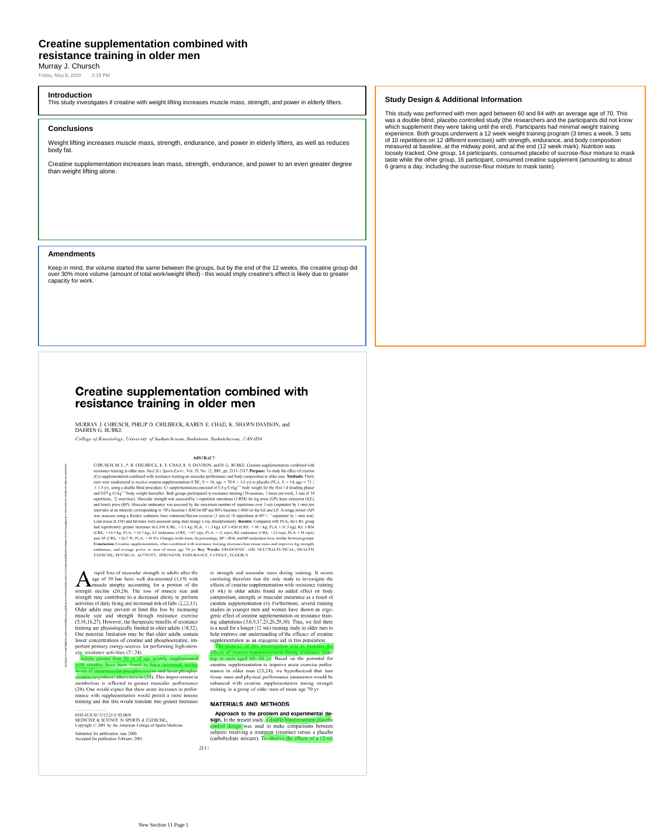## **Creatine supplementation combined with resistance training in older men**

Murray J. Chursch

Friday, May 8, 2020 3:19 PM

### **Introduction**

This study investigates if creatine with weight lifting increases muscle mass, strength, and power in elderly lifters.

### **Conclusions**

Weight lifting increases muscle mass, strength, endurance, and power in elderly lifters, as well as reduces body fat.

Creatine supplementation increases lean mass, strength, endurance, and power to an even greater degree than weight lifting alone.

### **Amendments**

Keep in mind, the volume started the same between the groups, but by the end of the 12 weeks, the creatine group did<br>over 30% more volume (amount of total work/weight lifted) - this would imply creatine's effect is likely capacity for work.

### **Study Design & Additional Information**

This study was performed with men aged between 60 and 84 with an average age of 70. This was a double blind, placebo controlled study (the researchers and the participants did not know<br>which supplement they were taking until the end). Participants had minimal weight training<br>experience. Both groups underwent a measured at baseline, at the midway point, and at the end (12 week mark). Nutrition was<br>loosely tracked. One group, 14 participants, consumed placebo of sucrose-flour mixture to mask<br>taste while the other group, 16 partici 6 grams a day, including the sucrose-flour mixture to mask taste).

# Creatine supplementation combined with resistance training in older men

MURRAY J. CHRUSCH, PHILIP D. CHILIBECK, KAREN E. CHAD, K. SHAWN DAVISON, and DARREN G. BURKE

College of Kinesiology, University of Saskatchewan, Saskatoon, Saskatchewan, CANADA

### **ABSTRACT**

**ABSTRACT**<br>
ABSTRACT<br>
ABSTRACT<br>
CHILDBECK, K. E. CHAD, K. S. DAVISON, and D. G. BURKE. Creatine supplementation combined with<br>
resistance training in older men. Med Sri, Spore Ecrec, Vel. 31, No. 12, 2001, pp. 2111–2117.

rapid loss of muscular strength in adults after the strength decline and associated (1,19) with<br>strength decline well decumented (1,19) with<br>strength decline (20,28). The loss of muscle size and<br>strength may contribute to a decreased ability to perform activities of daily living and increased risk of falls (2,22,33). servivus or using invirginal increased instead of Older adults may prevent or limit this loss by increasing<br>muscle size and strength through resistance exercise<br>(5,10,16,27). However, the therapeutic benefits of resistanc training are physiologically limited in older adults (18,32).<br>One potential limitation may be that older adults contain lower concentrations of creatine and phosphocreatine, important primary energy-sources for performing high-intenlower concentrations of creatine<br>portant primary energy-sources<br>sity resistance activities (21,24).

ults greater than 50 yr of age acutely su<br>creatine have been found to have increa

0195-9131/01/3312-2111/83.00/0<br>MEDICINE & SCIENCE IN SPORTS & EXERCISE<sub>®</sub><br>Copyright © 2001 by the American College of Sports Medicine

Submitted for publication June 2000.<br>Accepted for publication February 2001.

levels of intramuscular phosphorecatine and faster phosphorecatine and faster phosphorecatine resynthesis after exercise  $(24)$ . This improvement in metabolism is reflected in gerater muscular performance  $(24)$ . One woul mance with supplementation would permit a more intense training and that this would translate into greater increases

an accupation the control of control of control of contrastigate the effects of creatine supplementation with resistance training (8 wk) in older adults found no added effect on body (8 wk) in older action solution composi creatine supplementation (4). Furthermore, several training creatine supplementation (4). Furthermore, several transing<br>studies in younger men and women have shown an ergo-<br>genie effect of creatine supplementation on resistance train-<br>ing adaptations (3.6.9.17.25.26.29.30). Thus, w supplementation as an ergogenic aid in this population.

in strength and muscular mass during training. It seems

effects of creatine supplementation during resistance train-<br>ing in men aged 60–84 yr. Based on the potential for creatine supplementation to improve acute exercise perfor cianace in older men (23,24), we hypothesized that lean<br>tissue mass and physical performance parameters would be<br>thanced with creatine supplementation during strength<br>training in a group of older men of mean age 70 yr.

### **MATERIALS AND METHODS**

Approach to the problem and experimental design. In the present study, a d **sign.** In the present study, a double-blind treatment placebooth<br>control design was used to make comparisons between<br>subjects receiving a treatment (creatine) versus a placeboot<br>(earbohydrate mixture). To observe the eff

 $2111$ 

increased resting<br>nd faster phospho-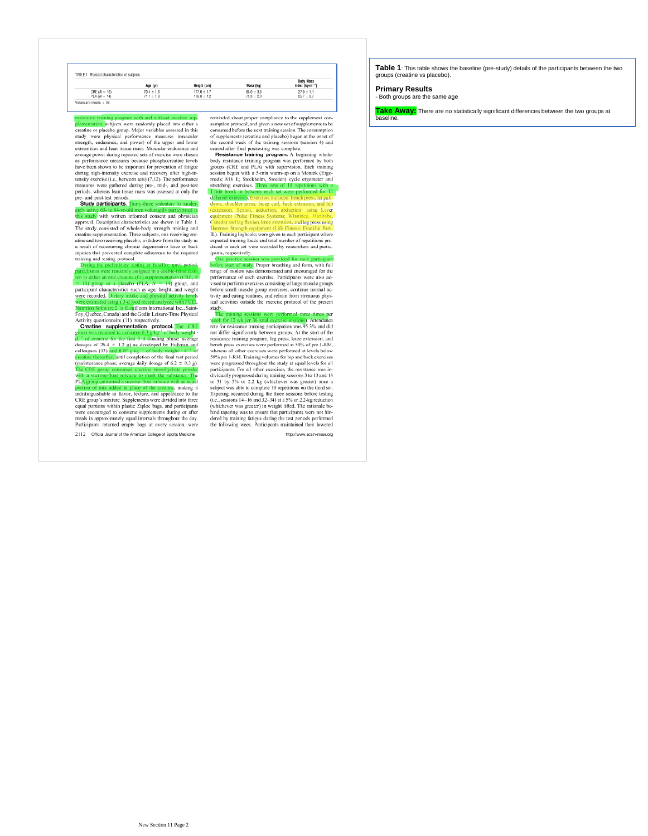|                | TABLE 1. Physical characteristics of subjects. |                 |                |                                                 |
|----------------|------------------------------------------------|-----------------|----------------|-------------------------------------------------|
|                | Age (yr)                                       | Height (cm)     | Mass (kg)      | <b>Body Mass</b><br>Index (kp-m <sup>-2</sup> ) |
| $CRE (N - 16)$ | $70.4 \pm 1.6$                                 | $177.6 \pm 1.7$ | $88.0 \pm 3.6$ | $27.9 \pm 1.1$                                  |
| $PLA (N = 14)$ | $71.1 \pm 1.8$                                 | $176.0 \pm 1.2$ | $79.9 + 2.9$   | $25.7 \pm 0.7$                                  |

resistance training program with and winner automorphementation, subjects were randomly placed into either a<br>creatine or placebo group. Major variables assessed in this<br>study were physical performance measures (muscular st average power during repeated sets of exercise were chosen average power aurang repeated sets of exercise were crosen<br>as performance measures because phosphocreatine levels<br>have been shown to be important for prevention of fatigue<br>during high-intensity exercise and recovery after The person state of the person of the person measures were gathered during pre-, mid-, and post-test<br>periods, whereas lean issue mass was assessed at only the<br>pre- and post-test periods.<br>**Sure and post-test periods**.<br>**Stu** 

this study with written informed consent and physicial any was approval. Descriptive characteristics are shown in Table 1.<br>The study consisted of whole-body strength training and creatine supplementation. Three subjects, one receiving re-<br>atine and two receiving placebo, withd and and reoccurring phronic degenerative knee or back<br>injuries that prevented complete adherence to the required<br>training and testing protocol.

# During the preliminary testing or baseline (pee) period,<br>participants were randomly assigned in a double-blind fash-<br>ion to either an oral creatine (Ct) supplementation (CRE, N<br>ion to either an oral creatine (Ct) suppleme

Foy, Quebec, Canada) and the Godin Leisure-Time Physical Activity questionnaire (11), respectively.<br> **Creatine supplementation protocol.** The CRE

required to consume 0.3 g/kg<sup>-1</sup> of body weight<br>atine for the first 5 d (loading phase; average of dosages of 26.4 = 1.2 g) as developed by Hultman and<br>colleagues (13) and 0.07 g/kg<sup>-1</sup> of body weight  $\cdot$  d<sup>-1</sup> of<br>creatine thereafter, until completion of the final test period<br>(maintenance phase; average daily dosag The CRE group consumed creatine monohydrate p<br>with a sucrose-flour mixture to mask the substance<br>PLA group consumed a sucrose-flour mixture with an powde<br>... Th

PLA group consumed a success-nour mixture with an equal<br>portion of mix added in place of the creating, making it<br>indistinguishable in flavor, texture, and appearance to the motstrugustanble in havor, textue, and appearance to the CRE group's mixtre. Supplements were divided into three equal portions within plastic Ziploe bags, and participants were encouraged to consume supplements during or

2112 Official Journal of the American College of Sports Medicine

reminded about proper compliance to the supplement consumption protocol, and given a new set of supplements to be sumptun protocot, and gyren a new set of supprements to net<br>consumed before the next training session. The consumption<br>of supplements (creatine and placebo) began at the onset of<br>the second week of the training sessions (s

Resistance training program. A beginning whole **resistance training program.** A beginning word-<br>body resistance training program was performed by both<br>groups (CRE and PLA) with supervision. Each training<br>session began with a 5-min warm-up on a Monark (Ergo-<br>medic 818 E sets of 10 re stretching exercises. Three ns with a<br>red for 12 h set were perf

nin break in between e<br>ferent exercises, Exercise<br>wn, shoulder press, bice<br>tension. flexion. addu eccises menueu, benen<br>,, bicep curl, back exter ion, flexion, adduction, abduction) using Lever equipment (Pulse Fitness Syste ms: Win da) and leg flexion, knee extens ion, and leg press using nt (Life Fi Frammer Strongth equipment (Life Fitness; Frankin Park, IL). Training logbooks were given to each participant where expected training loads and total number of repetitions produced in each set were recorded by researchers ipants, respectively.

One practice session was provided for each participant<br>before start of study. Proper breathing and form, with full<br>range of motion was demonstrated and encouraged for the performance of each exercise. Participants were also adperformance or each exercise, ratrespans were also au-<br>vised to perform exercises consisting of large muscle groups<br>before small muscle group exercises, continue normal ae-<br>tivity and eating routines, and refinin from stre study.<br>The

the training sessions were performed three times per<br>week for 12 wk (or 36 total exergise sessions). Attendance<br>rate for resistance training participation was 95.3% and did<br>not differ significantly between groups. At the s not differs significantly between groups. At the start of the star<br>resistance training program, leg press, knee extension, and<br>hence resistance training program, leg press, knee extension, and<br>whereas sall other exercises Tapering occurred during the three sessions before testing<br>(i.e., sessions 14-16 and 32-34) at a 5% or 2.2-kg reduction (*co.*; sessions  $x + y_0$  and  $3x^2 - y_1$  at  $3y/\omega$  r and  $x$  field. The rationale behind tapering was to ensure that participants were not hindred by training fatigue during the test periods performed the following week. Participants maintained their lowered

http://www.acsm-

**Table 1**: This table shows the baseline (pre-study) details of the participants between the two groups (creatine vs placebo).

**Primary Results**

- Both groups are the same age

**Take Away:** There are no statistically significant differences between the two groups at baseline.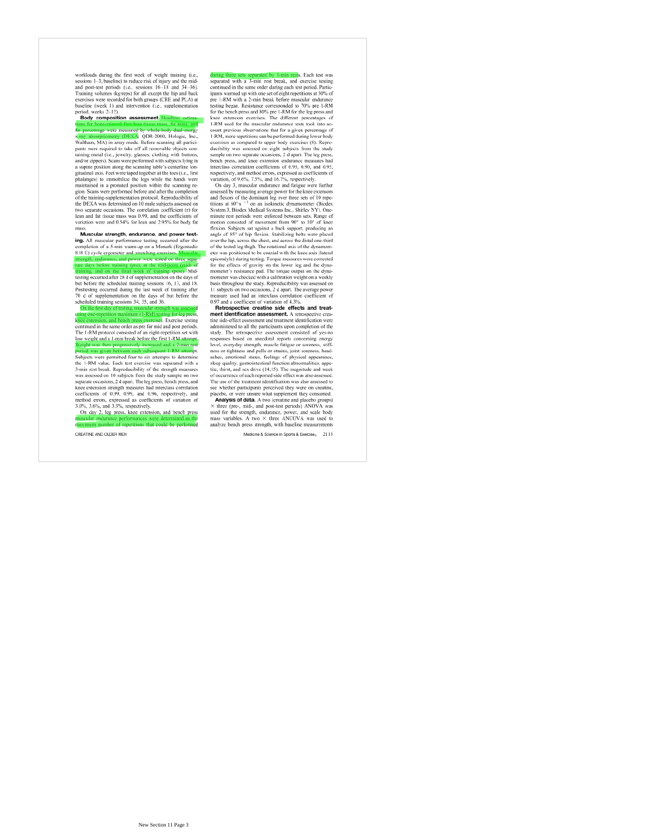workloads during the first week of weight training (i.e., sessions 1-3, baseline) to reduce risk of injury and the mid-<br>and post-test periods (i.e., sessions 16-18). Training volumes (kgreps) for all except the hip and bac Framing volumes (kg reps) for all except the may national<br>exercises were recorded for both groups (CRE and PLA) at<br>baseline (week 1) and intervention (i.e., supplementation<br>period, weeks 2–12).

Body composition assessment. entage were measured by

a percentage were measured by whose-source sterey data-<br>stray absorptiometry (DEXA; QDR-2000, Hologic, Inc.<br>Waltham, MA) in array mode. Before scanning all partici-<br>pants were required to take off all removable objects con pansis were required to take off all removable objects containing metal (i.e., jewelry, glasses, clothing with buttons, and/or zippers). Scans were performed with subjects lying in a supine position along the scanning habl maintained in a pronated position within the scanning remanuamen in a pronated position within the scanting re-<br>gion. Scans were performed before and after the completion<br>of the training-supplementation protocol. Reproducibility of<br>the DEXA was determined on 10 male subjects as two separate occasions. The correlation coefficient (r) for lean and fat tissue mass was 0.99, and the coefficients of variation were and 0.54% for lean and 2.95% for body fat

Muscular strength, endurance, and power testing. All muscular performance testing occurred after the completion of a 5-min warm-up on a Monark (Ergomedic completion of a 5-min warm-up on a *momen*<br>818 E) cycle ergometer and stretching exercises. Muscular<br>strength, endurance, and power were tested on three space

at the mid-point (mid) of<br>k of training (post). Mid

testing occurred after 28 d of supplementation on the days of Example correct ater  $\alpha$  to to supprementation on the days or<br>but before the scheduled training sessions 16, 17, and 18.<br>Posttesting occurred during the last week of training after<br>70 d of supplementation on the days of On th

 $\overline{m(1-RM)}$  to no for leg press

tension, and bench press exercises. Exercise testing<br>ed in the same order as pre for mid and post periods The 1-RM protocol consisted of an eight-repetition set with The 1-RM protocol consisted of the first 1-RM attempt.<br>low weight and a 1-min break before the first 1-RM attempt. 

period was given between each subsequent T-KM attempt.<br>Subjects were permitted four to six attempts to determine<br>the 1-RM value. Each test exercise was separated with a 3-min rest break. Reproducibility of the strength measures was assessed on 10 subjects from the study sample on two was assessed on 10 subgets from the study sample on two<br>sparate occasions, 2 d apart. The leg press, bench press, and<br>knee extension strength measures had interclass correlation<br>coefficients of 0.99, 0.99, and 0.96, respec method errors, expressed as coefficients of variation of

3.0%, 3.6%, and 3.3%, respectively.<br>On day 2, leg press, knee extension, and bench press

CREATINE AND OLDER MEN

Each test was during three sets separated by 1-min rests. Each test was<br>separated with a 3-min rest break, and exercise testing continued in the same order during each test period. Partic ipants warmed up with one set of eight repetitions at 50% of ipants warmed up with one set of eight repetitions at 50% of<br>pre-1-RM with a 2-min break before muscular endurance<br>testing began. Resistance corresponded to 70% pre 1-RM<br>for the bench press and 80% pre 1-RM for the leg pre First used for a given preceding of<br>count previous observations that for a given percentage of<br>1-RM, more repetitions can be performed during lower body<br>exercises as compared to upper body exercises (8). Reproducibility was assessed on eight subjects from the study<br>sample on two separate occasions, 2 d apart. The leg press, sample on two separate occasions, 2 d apart. The leg press,<br>bench press, and knee extension endurance measures had<br>interclass correlation coefficients of 0.95, 0.90, and 0.95,<br>respectively, and method erros, expressed as

On any 3, muscular enautaries and range were turnered<br>assessed by measuring average power for the knee extensors<br>and flexors of the dominant leg over three sets of 10 repe-<br>titions at 60° s<sup>-1</sup> on an isositinetic dynamomet minute rest periods were enforced between sets. Range of motion consisted of movement from 90° to 10° of knee motion consisted or invertient trout 50 to 10 o knee<br>flexion. Subjects at against a back support, producing an<br>angle of 85° of hip flexion. Stabilizing belts were placed<br>over the lap, across the chest, and across the dista of the tested leg thigh. The rotational axis of the dynamom of the tested eig thigh. The rotational axis of the dynamom-<br>eter was positioned to be coaxial with the knee axis (lateral<br>epicondyle) during testing. Torque measures were corrected<br>for the effects of gravity on the lower mointeir was creased win a canonatom weign on a weekly<br>basis throughout the study. Reproducibility was assessed on<br>11 subjects on two occasions, 2 d apart. The average power<br>measure used had an interclass correlation coef

Retrospective creatine side effects and treatment identification assessment. A retr ective crea **THERE IS CONTROLLED A SECOND FORMATION**<br>the side-effect assessment and treatment identification were<br>administered to all the participants upon completion of the study. The retrospective assessment consisted of yes-no respo nses based on anecdotal renorts concerning energy responses oased on anecdouar reports concerning energy<br>level, everyday strength, muscle fatigue or soreness, stiff-<br>nees or tightness and pulls or strains, joint soreness, head-<br>aches, enotional states, feelings of physica tite, thirst, and sex drive (14.15). The magnitude and week are, turnst, and sex anvec (14,10). In the magnutude and weeks<br>of occurrence of each reported side effect was also assessed.<br>The use of the treatment identification was also assessed to<br>see whether participants preceived t Analysis of data. A two (creatine and placebo groups) A three (pre-, mid-, and post-test periods) ANOVA was<br>set of the strength, endurance, power, and scale body<br>used for the strength, endurance, power, and scale body<br>mass variables. A two × three ANCOVA was used to<br>analyze b

Medicine & Science in Sports & Exercise. 2113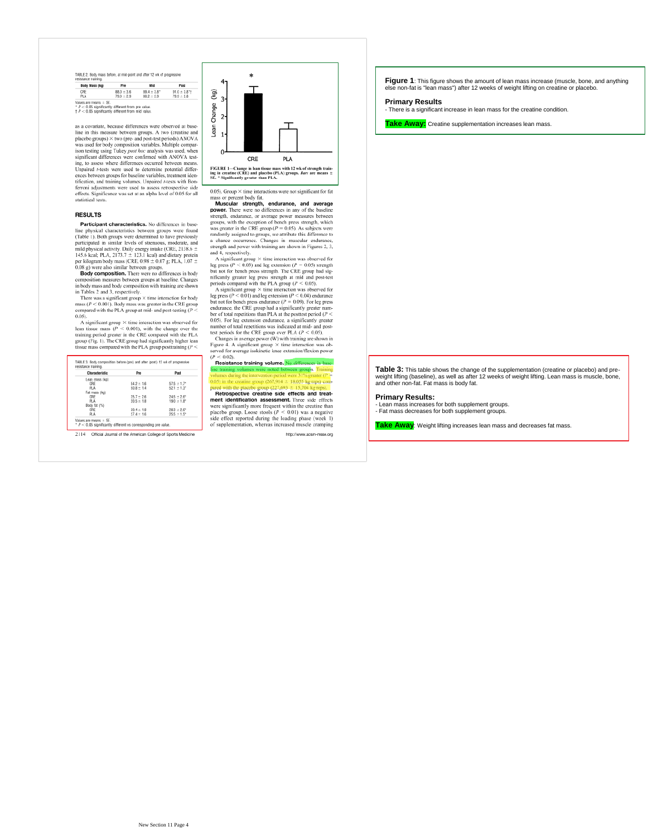|  | TABLE 2. Body mass before, at mid-point and after 12 wk of progressive |  |
|--|------------------------------------------------------------------------|--|

**Dool** 

 $\frac{91.0 \pm 3.8^4}{79.9 \pm 2.8}$ 

Body Mass (kg)  $P_{\text{tot}}$  $\overline{M}$  $\frac{88.0 \pm 3.6}{79.9 \pm 2.9}$  $ORE$  $89.4 \pm 3.8$ <br> $80.2 \pm 2.9$ Values are means = SE.<br>\*  $P < 0.05$  significantly different from pre value.<br>†  $P < 0.05$  significantly different from mid value.

as a covariate, because differences were observed at base as a covarate, because differences were observed at base-<br>ine in this measure between groups. A two (creatine and<br>placelo groups)  $\times$  two (pre and post-lest periods) ANOVA<br>was used for body composition variables. Multipl ing, to assess were uncertained between means,<br>Unpaired  $A$ -tests were used to determine potential differences between groups for baseline variables, treatment identification, and training volumes. Unpaired  $A$ -tests with effects. Significance was set at an alpha level of 0.05 for all statistical tests

### **RESULTS**

Participant characteristics. No differences in base **Participant characteristics**. No differences in base-<br>pline physical characteristics between groups were found<br>(Table 1). Both groups were determined to have previously<br>participated in similar levels of strenous, moderat **Proposed as Find the Section 2012** of RELATION 2013 (CRE, 0.98 ± 0.07 g; PLA, 1.07 ± 0.07 g) were also similar between groups.<br>**Body composition.** There were no differences in body **COMPOSITION**.

composition measures between groups at baseline. Changes

composition measures between groups at baseline. Changes of in body mass and body composition with training are shown<br>in Tables 2 and 3, respectively.<br>There was a significant group  $\times$  time interaction for body<br>mass  $(P <$  $0.05$ 

0.05).<br>The Asignificant group  $\times$  time interaction was observed for<br>lean tissue mass ( $P < 0.001$ ), with the change over the<br>training period greater in the CRE compared with the PLA<br>group (Fig. 1). The CRE group had signi

| Characteristic | Pre            | Past                        |
|----------------|----------------|-----------------------------|
| Lean mass (kg) |                |                             |
| CRE            | $54.2 \pm 1.6$ | $57.5 \pm 1.7$ <sup>*</sup> |
| PLA            | $508 \pm 14$   | $52.1 \pm 1.3$ <sup>*</sup> |
| Fat mass (kg)  |                |                             |
| CRE            | $25.7 \pm 2.6$ | $24.5 \pm 2.6$ <sup>*</sup> |
| PLA            | $20.5 \pm 1.8$ | $19.0 \pm 1.8$ <sup>*</sup> |
| Body fat (%)   |                |                             |
| CRE            | $30.4 \pm 1.8$ | $28.3 + 2.6$ *              |
| PLA            | $27.4 + 1.6$   | $25.5 + 1.5$ *              |

2114 Official Journal of the American College of Sports Medio



0.05). Group  $\times$  time interactions were not significant for fat onoup < une meacoons were not significant for fat<br>if percent body fat.<br>**scular strength, endurance, and average** mass  $\sigma$ <br>Mus

power. There were no differences in any of the baseline **power.** Inter were no auterences in any or the baseline<br>groups, with the exception argument strength, endurance, or average power measures between<br>was greater in the CRE group ( $P = 0.05$ ). As subjects were randomly assig

strength and power with training are shown in Figures 2, 3,<br>and 4, respectively.<br>
and power with training are shown in Figures 2, 3,<br>
and 4, significant group  $\times$  time interaction was observed for<br>
leg press ( $P < 0.03$ )

Changes in average power (W) with training are shown in Changes in average power (w) while training are shown in<br>Figure 4. A significant group  $\times$  time interaction was ob-<br>served for average isokinetic knee extension/flexion power  $\tilde{a}$ 

r < 0.02).<br>**Resistance training volume.** No diffe oups. Training  $\overline{D}$ .

Retrospective creatine side effects and treatment identification assessment. Three side effects **Solution Solution Solution Exploration Exploration Exploration Properties Solution Exploration Properties Solution Solution Solution Solution C C C Exploration C C C Exploration** 

http://www.acsm-m

**Figure 1**: This figure shows the amount of lean mass increase (muscle, bone, and anything non-fat is "lean mass") after 12 weeks of weight lifting on creatine or placebo.

**Primary Results**

- There is a significant increase in lean mass for the creatine condition.

Take Away: Creatine supplementation increases lean mass.

**Table 3:** This table shows the change of the supplementation (creatine or placebo) and pre-weight lifting (baseline), as well as after 12 weeks of weight lifting. Lean mass is muscle, bone, and other non-fat. Fat mass is body fat.

### **Primary Results:**

**Firmary Reserver**<br>- Lean mass increases for both supplement groups.

- Fat mass decreases for both supplement groups.

**Take Away**: Weight lifting increases lean mass and decreases fat mass.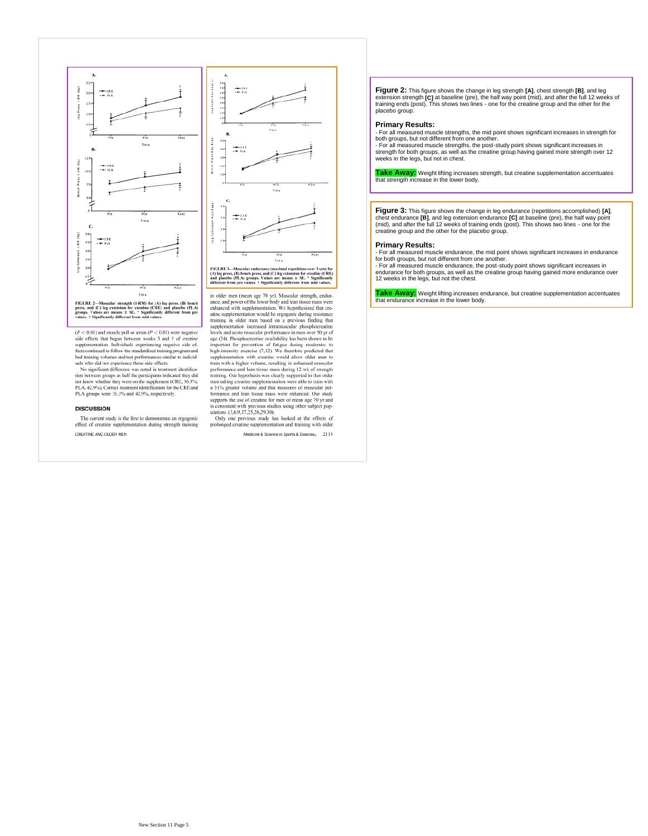

FIGURE 2—Muscular strength (I-RM) for (A) leg press, (B) bench<br>press, and (C) leg extension for creatine (CRE) and placebo (PLA)<br>groups. Values are means  $\pm$  SE. \* Significantly different from pre<br>values. † Significantly

 $(P < 0.01)$  and muscle pull or strain  $(P < 0.01)$  were negative side effects that began between weeks 3 and 5 of creating sue crises an organ oeuvern weeks a and 3 or creame<br>supplementation. Individuals experiencing negative side effects continued to follow the standardized training program and<br>had training volumes and test performances simil

No significant difference was noted in treatment identifica-No against an uncertor was noted to meanware atomic form between groups as half the participants indicated they did<br>plus that the weak of the superfect of the superfect (CRE, 56.3%;<br>PLA, 42.9%). Correct treatment identifi

### **DISCUSSION**

The current study is the first to demonstrate an ergogenic effect of creatine supplementation during strength training CREATINE AND OLDER MEN



 $FIGURE 3$ —Muscular endurance (maximal repetitions over 3 sets) for (A) leg press, (B) bench press, and (C) leg extension for creatine (CRE) and placebo (PLA) groups. Values are means  $\pm SE$ . " Significantly different from mea

in older men (mean age 70 yr). Muscular strength, endur-<br>ance, and power of the lower body and lean tissue mass were enhanced with supplementation. We hypothesized that creenhanced with supplementation. We hypothesized that ere-<br>ating supplementation would be ergogenic during resistance<br>training in older men based on a previous finding that<br>supplementation increased intramuscular photophocr performance and lean itssue mass during 12 wk of strength<br>training. Our hypothesis was clearly supported in that older<br>men taking creatine supplementation were able to train with<br>a 31% greater volume and that measures of m suppose to use to victain to the sing other subject populations (3,6,9,17,25,26,29,30).<br>In the studies using other subject populations (3,6,9,17,25,26,29,30).<br>Only one previous study has looked at the effects of<br>prolonged

Medicine & Science in Sports & Exercise<sub>®</sub> 2115

**Figure 2:** This figure shows the change in leg strength [A], chest strength [B], and leg<br>extension strength [C] at baseline (pre), the half way point (mid), and after the full 12 weeks of<br>training ends (post). This shows placebo group.

### **Primary Results:**

- For all measured muscle strengths, the mid point shows significant increases in strength for<br>both groups, but not different from one another.<br>- For all measured muscle strengths, the post-study point shows significant in

strength for both groups, as well as the creatine group having gained more strength over 12 weeks in the legs, but not in chest.

**Take Away:** Weight lifting increases strength, but creatine supplementation accentuates that strength increase in the lower body.

**Figure 3:** This figure shows the change in leg endurance (repetitions accomplished) **[A]**, chest endurance [B], and leg extension endurance [C] at baseline (pre), the half way point<br>(mid), and after the full 12 weeks of training ends (post). This shows two lines - one for the<br>creatine group and the other for the

### **Primary Results:**

- For all measured muscle endurance, the mid point shows significant increases in endurance for both groups, but not different from one another.

- For all measured muscle endurance, the post-study point shows significant increases in endurance for both groups, as well as the creatine group having gained more endurance over 12 weeks in the legs, but not the chest.

**Take Away:** Weight lifting increases endurance, but creatine supplementation accentuates that endurance increase in the lower body.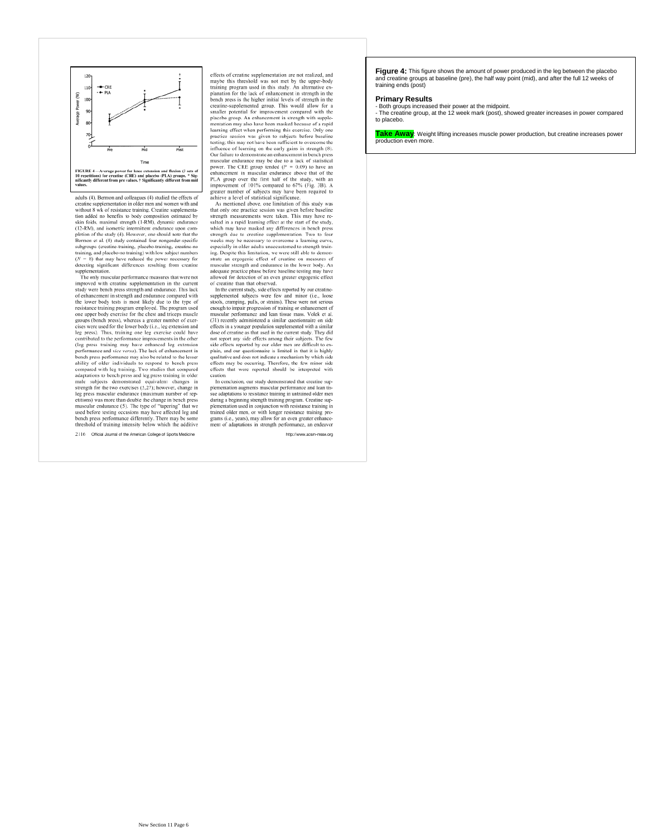

adults (4). Bermon and colleagues (4) studied the effects of<br>creatine supplementation in older men and women with and<br>without 8 wk of resistance training. Creatine supplementation added no benefits to body composition estimated by tion assetti no folds, maximal strength (1-RM), dynamic endurance by<br>skin folds, maximal strength (1-RM), dynamic endurance<br>(12-RM), and isometric intermittent endurance upon com-<br>pletion of the study (4). However, one sho beauton et al. (v) stage constants our anogeneous constants subgroups (creatine-training, and place<br>bo-training), with low subject numbers ( $N = 8$ ) that may have reduced the power necessary for<br> $(N = 8)$  that may have reduc supplementation.

The only muscular performance measures that were not In our must<br>counterperformance measures una were not experimented with creatine supplementation in the current<br>study were bench press strength and endurance. This lack<br>of enhancement in strength and endurance compared with are lower today leads an amost about the program used<br>one upper body exercise for the chest and triceps mused<br>one upper body exercise for the chest and triceps muscle<br>groups (bench press), whereas a greater number of exerleg press). Thus, training one leg exercise could have leg press). Thus, training one leg exercise could have<br>contributed to the performance improvements in the other<br>(leg press training may have enhanced leg extension<br>(leg press training may have enhanced leg extension<br>behav leg press muscular endurance (maximum number of repetitions) was more than double the change in bench press changes as more unarrow to example in both the property and the muscular endurance (5). The type of "tapering" that we used before testing occasions may have affected leg and bench press performance differently. There may

2116 Official Journal of the American College of Sports Medicine

effects of creatine supplementation are not realized, and<br>maybe this threshold was not met by the upper-body<br>training program used in this study. An alternative ex-<br>planation for the lack of enhancement in strength in the pharaton or or each or emancement in strength in the<br>bench press is the higher initial levels of strength in the<br>creatine-supplemented group. This would allow for a<br>smaller potential for inprovement compared with the<br>place mentation may also have been masked because of a rapid incursuour may also save occur massed occasses on a rapid<br>learning effect when performing this exercise. Only one<br>practice session was given to subjects before baseline<br>testing; this may not have been sufficient to overcom influence of learning on the early gains in strength (8). Our failure to demonstrate an enhancement in bench press Our failure to demonstrate an enhancement in bench press<br>muscular endarmed any be due to a lack of statistical<br>power. The CRE group tended  $(P = 0.09)$  to have an<br>enhancement in muscular endarmed above that of the<br>PLA group mprovement or 1017s compared to  $\sigma/26$  (rig. 3B). A generic number of subjects may have been required to achieve a level of statistical significance.

that only one practice session was given before baseline strength measurements were taken. This may have re struggly measurements were valued in a rapid learning effect at the start of the study, which may have masked any differences in bench press, strength due to creatine supplementation. Two to four weeks may be necessary to especially in older adults unaccustomed to strength trainespecially in other audits uncertainty and the demon-<br>ing. Despite this limitation, we were still able to demon-<br>strate an ergogenic effect of creatine on measures of<br>muscular strength and endurance in the lower body. An<br>a allowed for detection of an even greater ergogenic effect of creatine than that observed

or creature than that observed.<br>In the current study, side effects reported by our creatine-<br>supplemented subjects were few and minor (i.e., loose<br>stools, cramping, pulls, or strains). These were not serious enough to impair progression of training or enhancement of coogui to unpun pogression or training or constant of the muscular performance and lean tissue mass. Volek et al.<br>(31) recently administered a similar questionnaire on side effects in a younger population supplemented with not report any side effects among their subjects. The few not report any state effects among their subjects. The few side effects reported by our older men are difficult to explain, and our questionnaire is limited in that it is highly qualitative and does not indicate a mechanis caution

In conclusion, our study demonstrated that creatine sup-<br>plementation augments muscular performance and lean tissue adaptations to resistance training in untrained older men so compositions be resonance to antang in contractions observed during a beginning strength training program. Creatine sup-<br>plementation used in conjunction with resistance training in<br>trained older men, or with longer res ment of adaptations in strength performance, an endeavo

http://www.sce

Figure 4: This figure shows the amount of power produced in the leg between the placebo and creatine groups at baseline (pre), the half way point (mid), and after the full 12 weeks of training ends (post)

### **Primary Results**

- Both groups increased their power at the midpoint. - The creatine group, at the 12 week mark (post), showed greater increases in power compared to placebo.

**Take Away**: Weight lifting increases muscle power production, but creatine increases power production even more